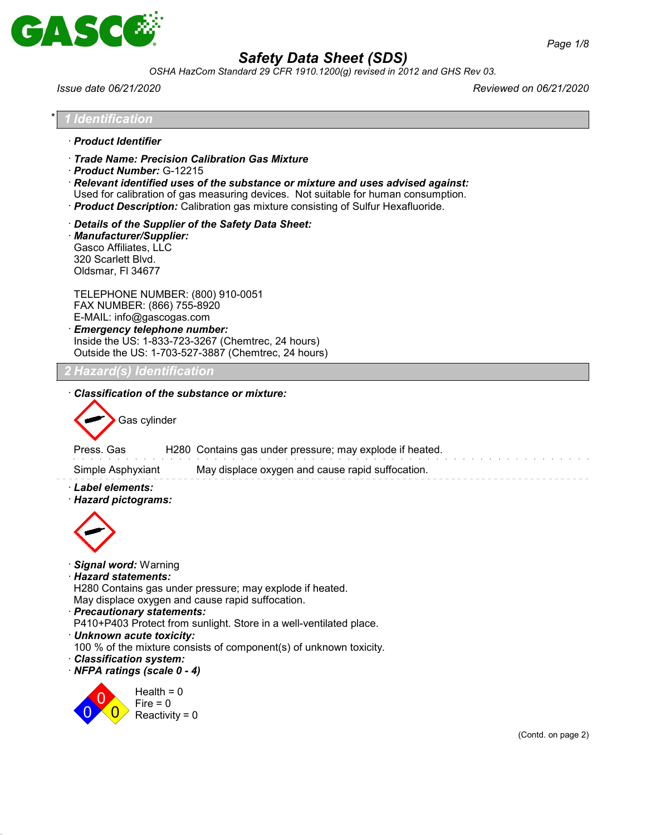

*OSHA HazCom Standard 29 CFR 1910.1200(g) revised in 2012 and GHS Rev 03.*

\* *1 Identification*

*Issue date 06/21/2020 Reviewed on 06/21/2020*

| · Product Identifier                                                                                                                                                                                                                                                                                                                                                                                                                                                                                         |
|--------------------------------------------------------------------------------------------------------------------------------------------------------------------------------------------------------------------------------------------------------------------------------------------------------------------------------------------------------------------------------------------------------------------------------------------------------------------------------------------------------------|
| Trade Name: Precision Calibration Gas Mixture<br>Product Number: G-12215<br>$\cdot$ Relevant identified uses of the substance or mixture and uses advised against:<br>Used for calibration of gas measuring devices. Not suitable for human consumption.<br>· Product Description: Calibration gas mixture consisting of Sulfur Hexafluoride.                                                                                                                                                                |
| Details of the Supplier of the Safety Data Sheet:<br>Manufacturer/Supplier:<br>Gasco Affiliates, LLC<br>320 Scarlett Blvd.<br>Oldsmar, FI 34677                                                                                                                                                                                                                                                                                                                                                              |
| TELEPHONE NUMBER: (800) 910-0051<br>FAX NUMBER: (866) 755-8920<br>E-MAIL: info@gascogas.com<br><b>Emergency telephone number:</b><br>Inside the US: 1-833-723-3267 (Chemtrec, 24 hours)<br>Outside the US: 1-703-527-3887 (Chemtrec, 24 hours)                                                                                                                                                                                                                                                               |
| 2 Hazard(s) Identification                                                                                                                                                                                                                                                                                                                                                                                                                                                                                   |
| Classification of the substance or mixture:<br>Gas cylinder                                                                                                                                                                                                                                                                                                                                                                                                                                                  |
| H280 Contains gas under pressure; may explode if heated.<br>Press, Gas                                                                                                                                                                                                                                                                                                                                                                                                                                       |
| Simple Asphyxiant<br>May displace oxygen and cause rapid suffocation.<br>· Label elements:                                                                                                                                                                                                                                                                                                                                                                                                                   |
| · Hazard pictograms:<br>· Signal word: Warning<br>· Hazard statements:<br>H280 Contains gas under pressure; may explode if heated.<br>May displace oxygen and cause rapid suffocation.<br>· Precautionary statements:<br>P410+P403 Protect from sunlight. Store in a well-ventilated place.<br>· Unknown acute toxicity:<br>100 % of the mixture consists of component(s) of unknown toxicity.<br>· Classification system:<br>· NFPA ratings (scale 0 - 4)<br>Health = $0$<br>$Fire = 0$<br>Reactivity = $0$ |
| (Contd. on page 2)                                                                                                                                                                                                                                                                                                                                                                                                                                                                                           |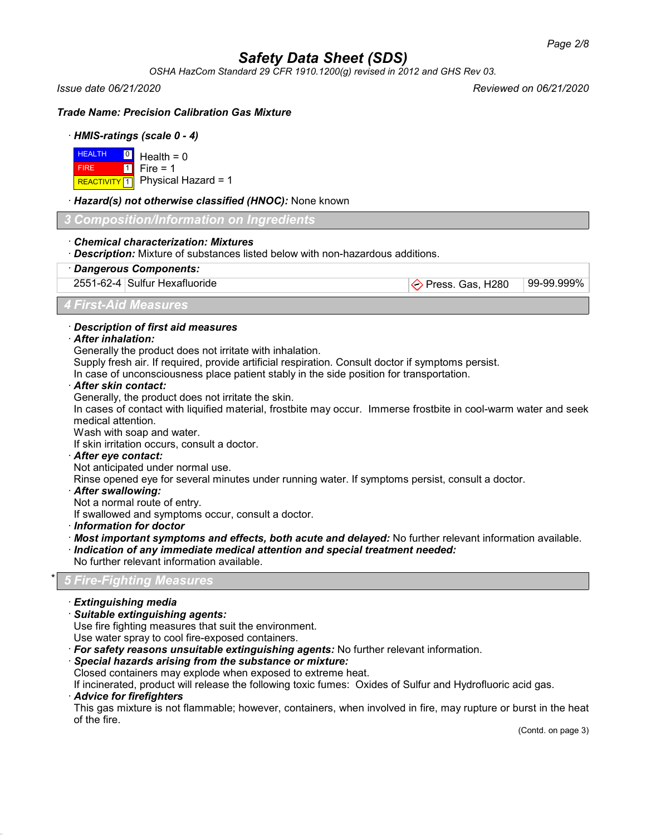*OSHA HazCom Standard 29 CFR 1910.1200(g) revised in 2012 and GHS Rev 03.*

*Issue date 06/21/2020 Reviewed on 06/21/2020*

*Trade Name: Precision Calibration Gas Mixture*

# · *HMIS-ratings (scale 0 - 4)*

|             | $H$ EALTH $\boxed{0}$ Health = 0           |
|-------------|--------------------------------------------|
| <b>FIRE</b> | $\blacksquare$ 1 Fire = 1                  |
|             | REACTIVITY $\boxed{1}$ Physical Hazard = 1 |

# · *Hazard(s) not otherwise classified (HNOC):* None known

*3 Composition/Information on Ingredients*

### · *Chemical characterization: Mixtures*

· *Description:* Mixture of substances listed below with non-hazardous additions.

## · *Dangerous Components:*

2551-62-4 Sulfur Hexafluoride **Press. Gas, H280** 99-99.999%

*4 First-Aid Measures*

# · *Description of first aid measures*

## · *After inhalation:*

Generally the product does not irritate with inhalation.

Supply fresh air. If required, provide artificial respiration. Consult doctor if symptoms persist.

In case of unconsciousness place patient stably in the side position for transportation.

# · *After skin contact:*

Generally, the product does not irritate the skin.

In cases of contact with liquified material, frostbite may occur. Immerse frostbite in cool-warm water and seek medical attention.

Wash with soap and water.

If skin irritation occurs, consult a doctor.

· *After eye contact:*

Not anticipated under normal use.

Rinse opened eye for several minutes under running water. If symptoms persist, consult a doctor.

- · *After swallowing:*
- Not a normal route of entry.

If swallowed and symptoms occur, consult a doctor.

- · *Information for doctor*
- · *Most important symptoms and effects, both acute and delayed:* No further relevant information available.
- · *Indication of any immediate medical attention and special treatment needed:*
- No further relevant information available.

# \* *5 Fire-Fighting Measures*

- · *Extinguishing media*
- · *Suitable extinguishing agents:*

Use fire fighting measures that suit the environment.

Use water spray to cool fire-exposed containers.

- · *For safety reasons unsuitable extinguishing agents:* No further relevant information.
- · *Special hazards arising from the substance or mixture:*
- Closed containers may explode when exposed to extreme heat.

If incinerated, product will release the following toxic fumes: Oxides of Sulfur and Hydrofluoric acid gas.

# · *Advice for firefighters*

This gas mixture is not flammable; however, containers, when involved in fire, may rupture or burst in the heat of the fire.

(Contd. on page 3)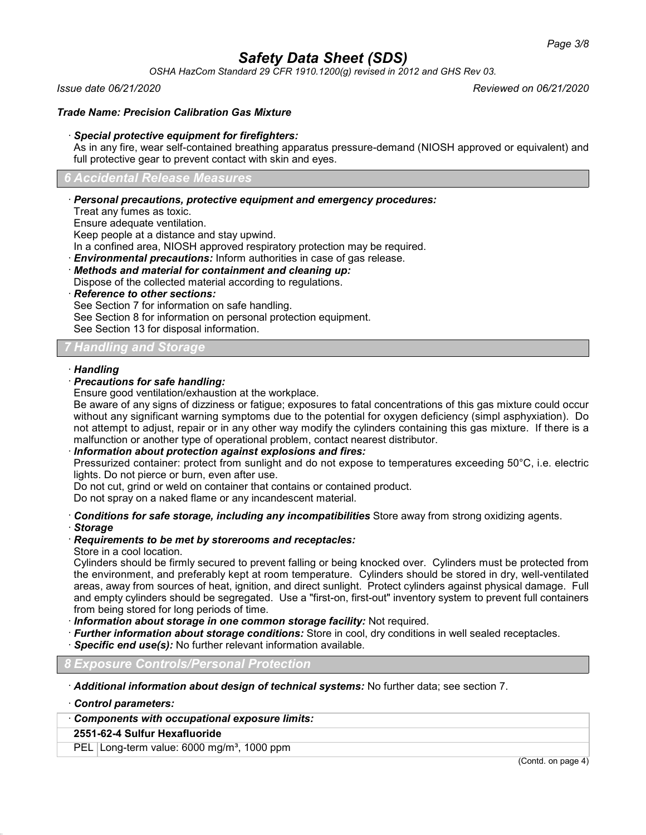*OSHA HazCom Standard 29 CFR 1910.1200(g) revised in 2012 and GHS Rev 03.*

*Issue date 06/21/2020 Reviewed on 06/21/2020*

# *Trade Name: Precision Calibration Gas Mixture*

## · *Special protective equipment for firefighters:*

As in any fire, wear self-contained breathing apparatus pressure-demand (NIOSH approved or equivalent) and full protective gear to prevent contact with skin and eyes.

### *6 Accidental Release Measures*

# · *Personal precautions, protective equipment and emergency procedures:*

Treat any fumes as toxic.

Ensure adequate ventilation.

Keep people at a distance and stay upwind.

In a confined area, NIOSH approved respiratory protection may be required.

· *Environmental precautions:* Inform authorities in case of gas release.

· *Methods and material for containment and cleaning up:*

Dispose of the collected material according to regulations.

· *Reference to other sections:*

See Section 7 for information on safe handling.

See Section 8 for information on personal protection equipment.

See Section 13 for disposal information.

# *7 Handling and Storage*

### · *Handling*

# · *Precautions for safe handling:*

Ensure good ventilation/exhaustion at the workplace.

Be aware of any signs of dizziness or fatigue; exposures to fatal concentrations of this gas mixture could occur without any significant warning symptoms due to the potential for oxygen deficiency (simpl asphyxiation). Do not attempt to adjust, repair or in any other way modify the cylinders containing this gas mixture. If there is a malfunction or another type of operational problem, contact nearest distributor.

# · *Information about protection against explosions and fires:*

Pressurized container: protect from sunlight and do not expose to temperatures exceeding 50°C, i.e. electric lights. Do not pierce or burn, even after use.

Do not cut, grind or weld on container that contains or contained product.

Do not spray on a naked flame or any incandescent material.

· *Conditions for safe storage, including any incompatibilities* Store away from strong oxidizing agents.

# · *Storage*

# · *Requirements to be met by storerooms and receptacles:*

# Store in a cool location.

Cylinders should be firmly secured to prevent falling or being knocked over. Cylinders must be protected from the environment, and preferably kept at room temperature. Cylinders should be stored in dry, well-ventilated areas, away from sources of heat, ignition, and direct sunlight. Protect cylinders against physical damage. Full and empty cylinders should be segregated. Use a "first-on, first-out" inventory system to prevent full containers from being stored for long periods of time.

· *Information about storage in one common storage facility:* Not required.

- · *Further information about storage conditions:* Store in cool, dry conditions in well sealed receptacles.
- **Specific end use(s):** No further relevant information available.

# *8 Exposure Controls/Personal Protection*

· *Additional information about design of technical systems:* No further data; see section 7.

· *Control parameters:*

## · *Components with occupational exposure limits:*

# **2551-62-4 Sulfur Hexafluoride**

PEL Long-term value: 6000 mg/m<sup>3</sup>, 1000 ppm

(Contd. on page 4)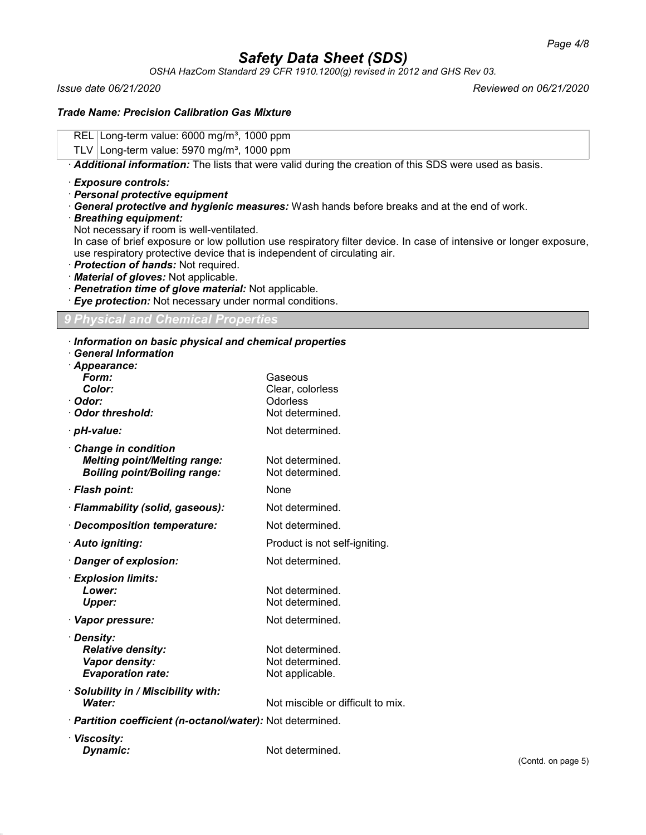*OSHA HazCom Standard 29 CFR 1910.1200(g) revised in 2012 and GHS Rev 03.*

*Issue date 06/21/2020 Reviewed on 06/21/2020*

# *Trade Name: Precision Calibration Gas Mixture*

REL Long-term value: 6000 mg/m<sup>3</sup>, 1000 ppm

TLV Long-term value:  $5970$  mg/m<sup>3</sup>, 1000 ppm

· *Additional information:* The lists that were valid during the creation of this SDS were used as basis.

### · *Exposure controls:*

- · *Personal protective equipment*
- · *General protective and hygienic measures:* Wash hands before breaks and at the end of work.
- · *Breathing equipment:*

Not necessary if room is well-ventilated.

In case of brief exposure or low pollution use respiratory filter device. In case of intensive or longer exposure, use respiratory protective device that is independent of circulating air.

- · *Protection of hands:* Not required.
- · *Material of gloves:* Not applicable.
- · *Penetration time of glove material:* Not applicable.
- · *Eye protection:* Not necessary under normal conditions.

# *9 Physical and Chemical Properties*

### · *Information on basic physical and chemical properties*

· *General Information*

| · Appearance:<br>Form:                                                                            | Gaseous                            |
|---------------------------------------------------------------------------------------------------|------------------------------------|
| Color:                                                                                            | Clear, colorless                   |
| · Odor:                                                                                           | Odorless                           |
| Odor threshold:                                                                                   | Not determined.                    |
| · pH-value:                                                                                       | Not determined.                    |
| Change in condition<br><b>Melting point/Melting range:</b><br><b>Boiling point/Boiling range:</b> | Not determined.<br>Not determined. |
| · Flash point:                                                                                    | None                               |
| · Flammability (solid, gaseous):                                                                  | Not determined.                    |
| · Decomposition temperature:                                                                      | Not determined.                    |
| · Auto igniting:                                                                                  | Product is not self-igniting.      |
| · Danger of explosion:                                                                            | Not determined.                    |
| · Explosion limits:                                                                               |                                    |
| Lower:                                                                                            | Not determined.                    |
| <b>Upper:</b>                                                                                     | Not determined.                    |
| · Vapor pressure:                                                                                 | Not determined.                    |
| · Density:                                                                                        |                                    |
| <b>Relative density:</b>                                                                          | Not determined.                    |
| Vapor density:                                                                                    | Not determined.                    |
| <b>Evaporation rate:</b>                                                                          | Not applicable.                    |
| Solubility in / Miscibility with:                                                                 |                                    |
| Water:                                                                                            | Not miscible or difficult to mix.  |
| · Partition coefficient (n-octanol/water): Not determined.                                        |                                    |
| . Viecoeitv                                                                                       |                                    |

| · Viscosity: |                 |
|--------------|-----------------|
| Dynamic:     | Not determined. |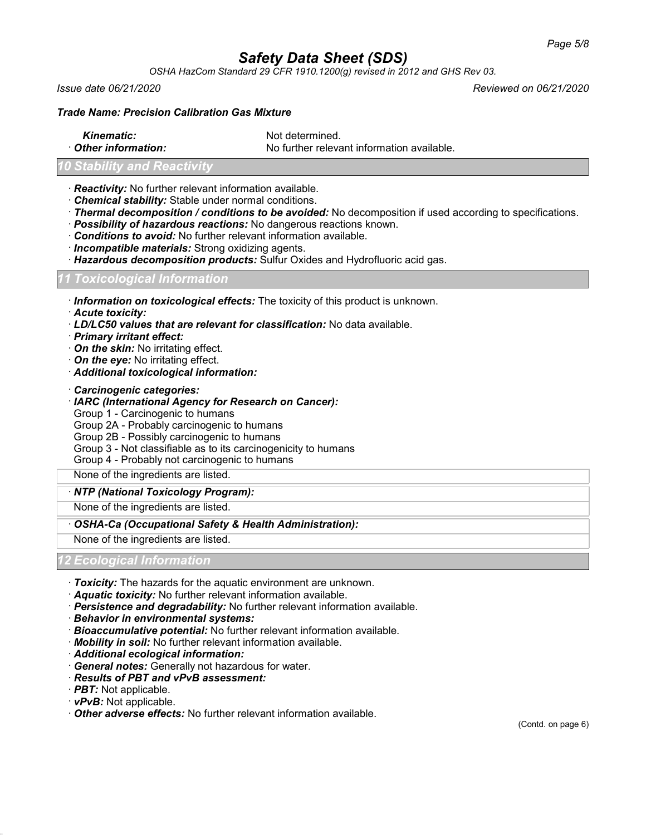*OSHA HazCom Standard 29 CFR 1910.1200(g) revised in 2012 and GHS Rev 03.*

*Issue date 06/21/2020 Reviewed on 06/21/2020*

### *Trade Name: Precision Calibration Gas Mixture*

**Kinematic:** Not determined.

**Other information:** No further relevant information available.

# *<u>Stability</u>* and **Reactiv**

- · *Reactivity:* No further relevant information available.
- · *Chemical stability:* Stable under normal conditions.
- · *Thermal decomposition / conditions to be avoided:* No decomposition if used according to specifications.
- · *Possibility of hazardous reactions:* No dangerous reactions known.
- · *Conditions to avoid:* No further relevant information available.
- · *Incompatible materials:* Strong oxidizing agents.
- · *Hazardous decomposition products:* Sulfur Oxides and Hydrofluoric acid gas.

# *11 Toxicological Information*

· *Information on toxicological effects:* The toxicity of this product is unknown.

- · *Acute toxicity:*
- · *LD/LC50 values that are relevant for classification:* No data available.
- · *Primary irritant effect:*
- · *On the skin:* No irritating effect.
- · *On the eye:* No irritating effect.
- · *Additional toxicological information:*
- · *Carcinogenic categories:*

### · *IARC (International Agency for Research on Cancer):*

- Group 1 Carcinogenic to humans
- Group 2A Probably carcinogenic to humans
- Group 2B Possibly carcinogenic to humans
- Group 3 Not classifiable as to its carcinogenicity to humans
- Group 4 Probably not carcinogenic to humans

None of the ingredients are listed.

### · *NTP (National Toxicology Program):*

None of the ingredients are listed.

### · *OSHA-Ca (Occupational Safety & Health Administration):*

None of the ingredients are listed.

### *12 Ecological Information*

- · *Toxicity:* The hazards for the aquatic environment are unknown.
- · *Aquatic toxicity:* No further relevant information available.
- · *Persistence and degradability:* No further relevant information available.
- · *Behavior in environmental systems:*
- · *Bioaccumulative potential:* No further relevant information available.
- · *Mobility in soil:* No further relevant information available.
- · *Additional ecological information:*
- · *General notes:* Generally not hazardous for water.
- · *Results of PBT and vPvB assessment:*
- · *PBT:* Not applicable.
- · *vPvB:* Not applicable.
- · *Other adverse effects:* No further relevant information available.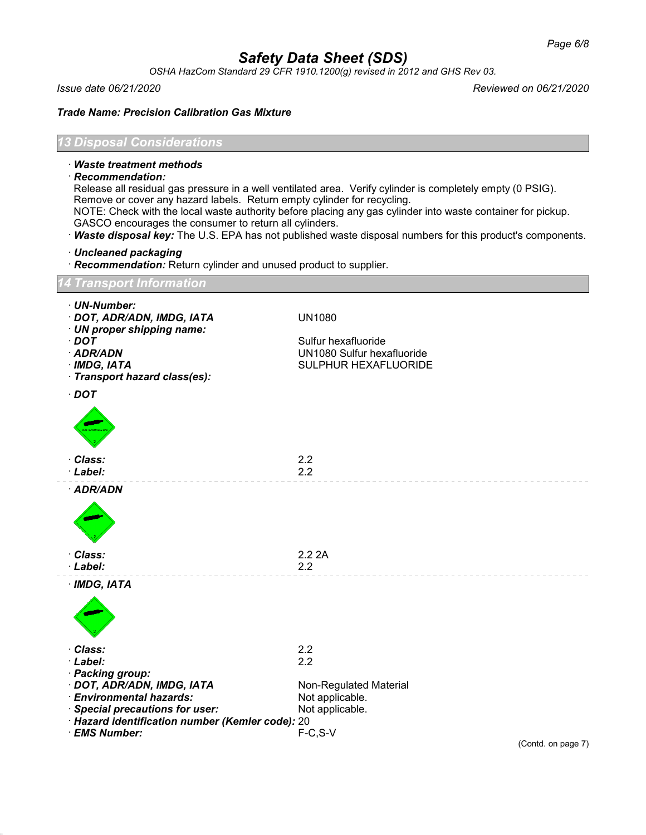*OSHA HazCom Standard 29 CFR 1910.1200(g) revised in 2012 and GHS Rev 03.*

*Issue date 06/21/2020 Reviewed on 06/21/2020*

*Trade Name: Precision Calibration Gas Mixture*

# *13 Disposal Considerations*

## · *Waste treatment methods*

· *Recommendation:*

Release all residual gas pressure in a well ventilated area. Verify cylinder is completely empty (0 PSIG). Remove or cover any hazard labels. Return empty cylinder for recycling. NOTE: Check with the local waste authority before placing any gas cylinder into waste container for pickup.

- GASCO encourages the consumer to return all cylinders.
- · *Waste disposal key:* The U.S. EPA has not published waste disposal numbers for this product's components.
- · *Uncleaned packaging*
- · *Recommendation:* Return cylinder and unused product to supplier.

# *14 Transport Information*

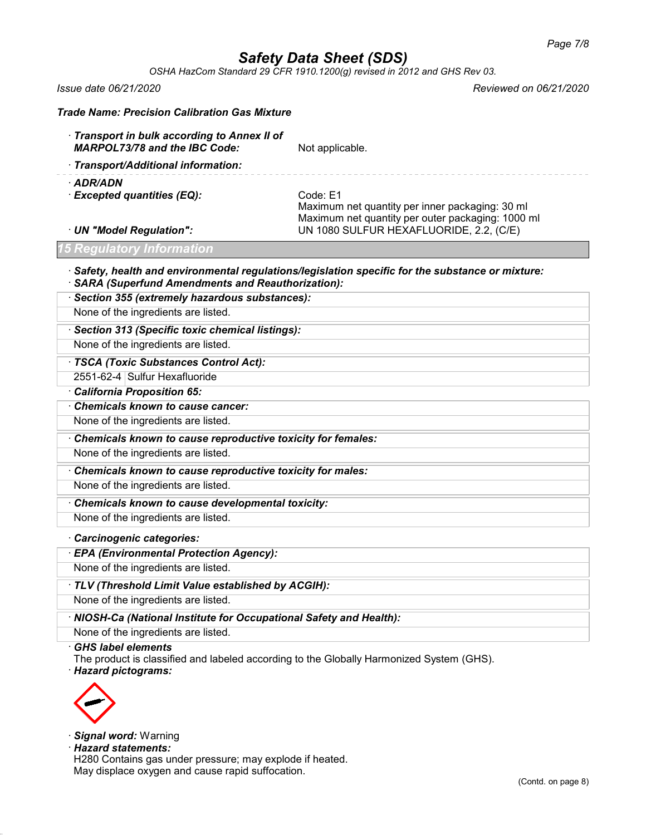*OSHA HazCom Standard 29 CFR 1910.1200(g) revised in 2012 and GHS Rev 03.*

*Issue date 06/21/2020 Reviewed on 06/21/2020*

| <b>Trade Name: Precision Calibration Gas Mixture</b>                                                                                                               |                                                                                                                                                             |  |  |  |
|--------------------------------------------------------------------------------------------------------------------------------------------------------------------|-------------------------------------------------------------------------------------------------------------------------------------------------------------|--|--|--|
| Transport in bulk according to Annex II of<br><b>MARPOL73/78 and the IBC Code:</b>                                                                                 | Not applicable.                                                                                                                                             |  |  |  |
| Transport/Additional information:                                                                                                                                  |                                                                                                                                                             |  |  |  |
| · ADR/ADN<br>· Excepted quantities (EQ):<br>· UN "Model Regulation":                                                                                               | Code: E1<br>Maximum net quantity per inner packaging: 30 ml<br>Maximum net quantity per outer packaging: 1000 ml<br>UN 1080 SULFUR HEXAFLUORIDE, 2.2, (C/E) |  |  |  |
| <b>15 Regulatory Information</b>                                                                                                                                   |                                                                                                                                                             |  |  |  |
| $\cdot$ Safety, health and environmental regulations/legislation specific for the substance or mixture:<br><b>SARA (Superfund Amendments and Reauthorization):</b> |                                                                                                                                                             |  |  |  |
| · Section 355 (extremely hazardous substances):                                                                                                                    |                                                                                                                                                             |  |  |  |
| None of the ingredients are listed.                                                                                                                                |                                                                                                                                                             |  |  |  |
| · Section 313 (Specific toxic chemical listings):                                                                                                                  |                                                                                                                                                             |  |  |  |
| None of the ingredients are listed.                                                                                                                                |                                                                                                                                                             |  |  |  |
| · TSCA (Toxic Substances Control Act):                                                                                                                             |                                                                                                                                                             |  |  |  |
| 2551-62-4 Sulfur Hexafluoride                                                                                                                                      |                                                                                                                                                             |  |  |  |
| California Proposition 65:                                                                                                                                         |                                                                                                                                                             |  |  |  |
| Chemicals known to cause cancer:                                                                                                                                   |                                                                                                                                                             |  |  |  |
| None of the ingredients are listed.<br>Chemicals known to cause reproductive toxicity for females:                                                                 |                                                                                                                                                             |  |  |  |
| None of the ingredients are listed.                                                                                                                                |                                                                                                                                                             |  |  |  |
|                                                                                                                                                                    |                                                                                                                                                             |  |  |  |
| Chemicals known to cause reproductive toxicity for males:<br>None of the ingredients are listed.                                                                   |                                                                                                                                                             |  |  |  |
| Chemicals known to cause developmental toxicity:                                                                                                                   |                                                                                                                                                             |  |  |  |
| None of the ingredients are listed.                                                                                                                                |                                                                                                                                                             |  |  |  |
|                                                                                                                                                                    |                                                                                                                                                             |  |  |  |
| Carcinogenic categories:<br>· EPA (Environmental Protection Agency):                                                                                               |                                                                                                                                                             |  |  |  |
| None of the ingredients are listed.                                                                                                                                |                                                                                                                                                             |  |  |  |
| · TLV (Threshold Limit Value established by ACGIH):                                                                                                                |                                                                                                                                                             |  |  |  |
| None of the ingredients are listed.                                                                                                                                |                                                                                                                                                             |  |  |  |
|                                                                                                                                                                    |                                                                                                                                                             |  |  |  |
| · NIOSH-Ca (National Institute for Occupational Safety and Health):<br>None of the ingredients are listed.                                                         |                                                                                                                                                             |  |  |  |
| <b>GHS label elements</b><br>The product is classified and labeled according to the Globally Harmonized System (GHS).<br><b>Hazard pictograms:</b>                 |                                                                                                                                                             |  |  |  |



· *Signal word:* Warning

· *Hazard statements:*

H280 Contains gas under pressure; may explode if heated. May displace oxygen and cause rapid suffocation.